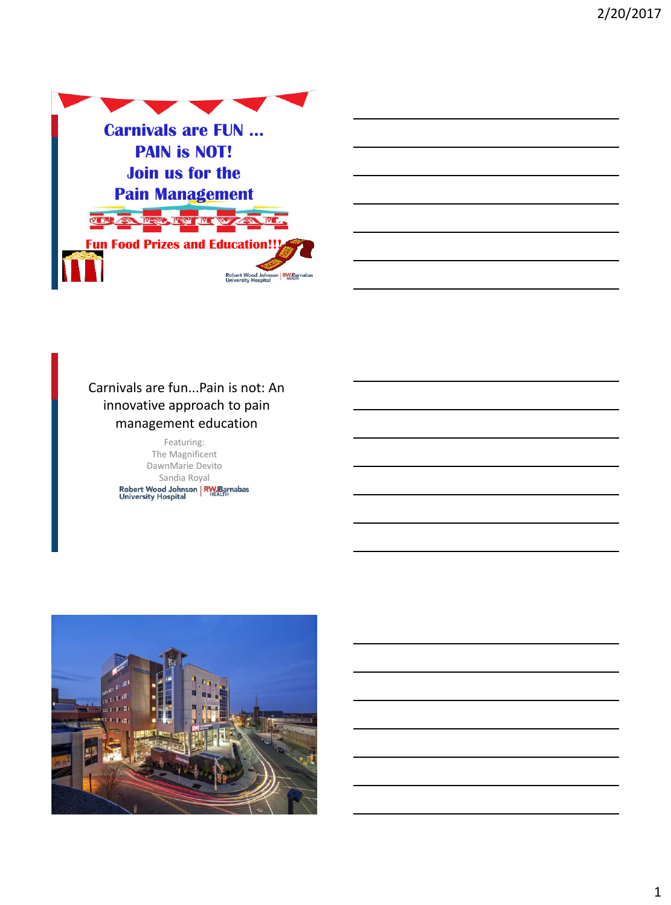

### Carnivals are fun...Pain is not: An innovative approach to pain management education

Featuring: The Magnificent DawnMarie Devito Sandia Royal<br>Robert Wood Johnson | RW Barnabas<br>University Hospital

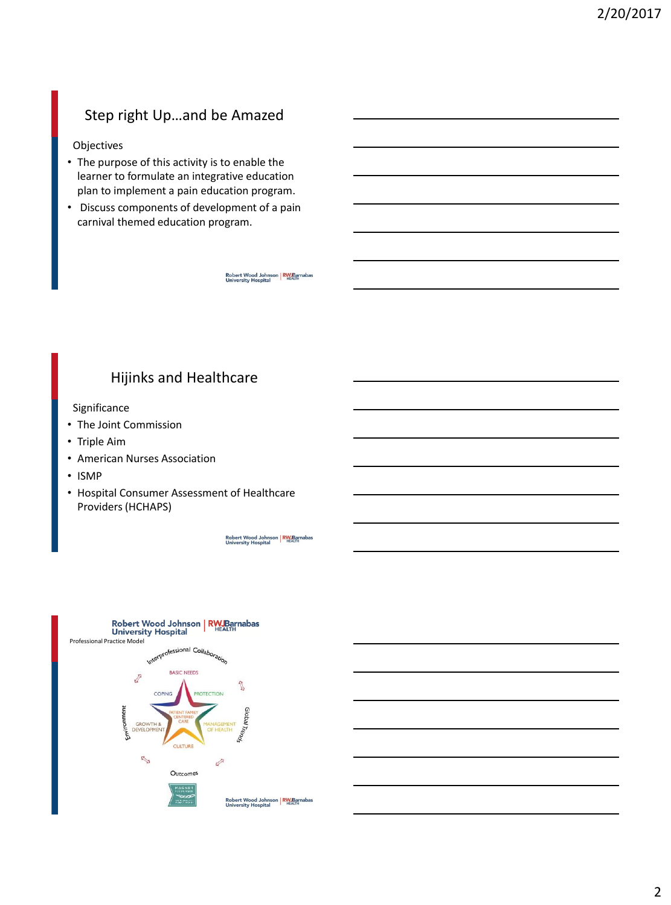# Step right Up…and be Amazed

#### Objectives

- The purpose of this activity is to enable the learner to formulate an integrative education plan to implement a pain education program.
- Discuss components of development of a pain carnival themed education program.

Robert Wood Johnson | RW Barnabas<br>University Hospital

### Hijinks and Healthcare

#### Significance

- The Joint Commission
- Triple Aim
- American Nurses Association
- ISMP
- Hospital Consumer Assessment of Healthcare Providers (HCHAPS)

Robert Wood Johnson | RW Barnabas<br>University Hospital

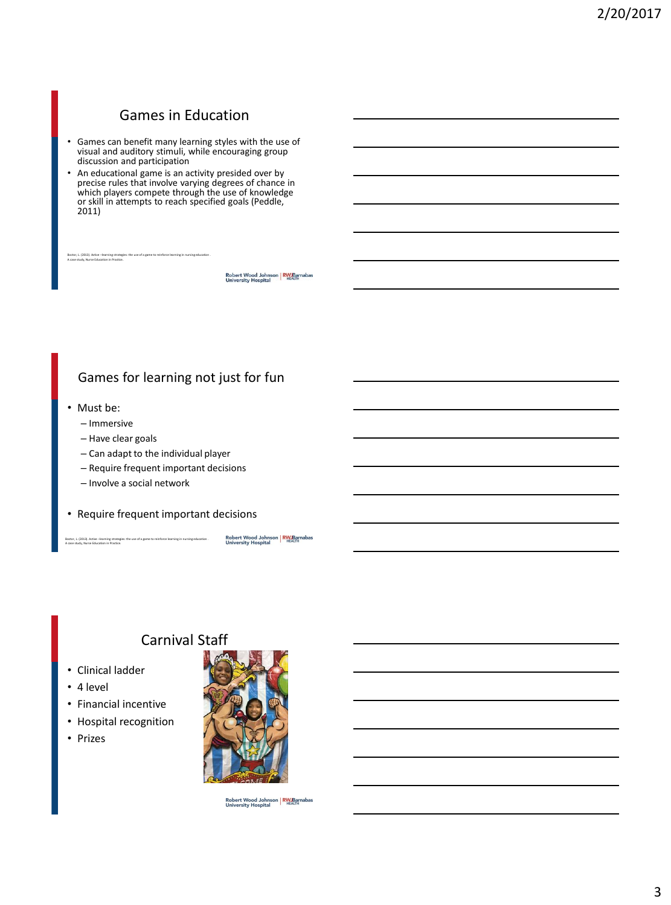# Games in Education

- Games can benefit many learning styles with the use of visual and auditory stimuli, while encouraging group discussion and participation
- An educational game is an activity presided over by precise rules that involve varying degrees of chance in which players compete through the use of knowledge or skill in attempts to reach specified goals (Peddle, 2011)

Robert Wood Johnson | RW Barnabas<br>University Hospital

#### Games for learning not just for fun

• Must be:

bor, L. (2013). Active –le A case study, Nurse Education in Practice.

- Immersive
- Have clear goals
- Can adapt to the individual player
- Require frequent important decisions
- Involve a social network
- Require frequent important decisions

Boctor, L. (2013). Active –learning strategies: the use of a game to reinforce learning in nursing education . A case study, Nurse Education in Practice.

Robert Wood Johnson | RW Barnabas<br>University Hospital

# Carnival Staff

- Clinical ladder
- 4 level
- Financial incentive
- Hospital recognition
- Prizes



Robert Wood Johnson | RW Barnabas<br>University Hospital